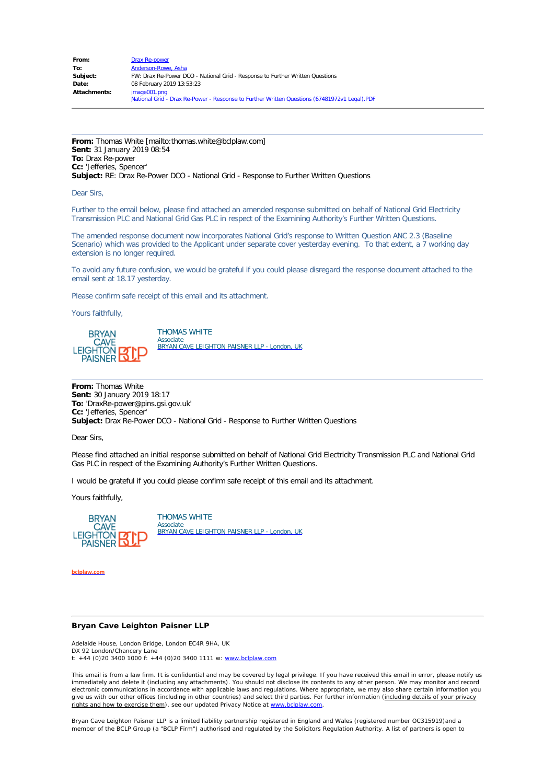| From:               | <b>Drax Re-power</b>                                                                         |  |  |
|---------------------|----------------------------------------------------------------------------------------------|--|--|
| To:                 | Anderson-Rowe, Asha                                                                          |  |  |
| Subject:            | FW: Drax Re-Power DCO - National Grid - Response to Further Written Questions                |  |  |
| Date:               | 08 February 2019 13:53:23                                                                    |  |  |
| <b>Attachments:</b> | image001.png                                                                                 |  |  |
|                     | National Grid - Drax Re-Power - Response to Further Written Questions (67481972v1 Legal).PDF |  |  |

**From:** Thomas White [mailto:thomas.white@bclplaw.com] **Sent:** 31 January 2019 08:54 **To:** Drax Re-power **Cc:** 'Jefferies, Spencer' **Subject:** RE: Drax Re-Power DCO - National Grid - Response to Further Written Questions

Dear Sirs,

Further to the email below, please find attached an amended response submitted on behalf of National Grid Electricity Transmission PLC and National Grid Gas PLC in respect of the Examining Authority's Further Written Questions.

The amended response document now incorporates National Grid's response to Written Question ANC 2.3 (Baseline Scenario) which was provided to the Applicant under separate cover yesterday evening. To that extent, a 7 working day extension is no longer required.

To avoid any future confusion, we would be grateful if you could please disregard the response document attached to the email sent at 18.17 yesterday.

Please confirm safe receipt of this email and its attachment.

Yours faithfully,



THOMAS WHITE Associate [BRYAN CAVE LEIGHTON PAISNER LLP - London, UK](mailto:Thomas.White@bclplaw.com)

**From:** Thomas White **Sent:** 30 January 2019 18:17 **To:** 'DraxRe-power@pins.gsi.gov.uk' **Cc:** 'Jefferies, Spencer' **Subject:** Drax Re-Power DCO - National Grid - Response to Further Written Questions

Dear Sirs,

Please find attached an initial response submitted on behalf of National Grid Electricity Transmission PLC and National Grid Gas PLC in respect of the Examining Authority's Further Written Questions.

I would be grateful if you could please confirm safe receipt of this email and its attachment.

Yours faithfully,



THOMAS WHITE Associate [BRYAN CAVE LEIGHTON PAISNER LLP - London, UK](mailto:Thomas.White@bclplaw.com)

**[bclplaw.com](http://www.bclplaw.com/)**

#### **Bryan Cave Leighton Paisner LLP**

Adelaide House, London Bridge, London EC4R 9HA, UK DX 92 London/Chancery Lane t:  $+44$  (0)20 3400 1000 f:  $+44$  (0)20 3400 1111 w: [www.bclplaw.com](http://www.bclplaw.com/)

This email is from a law firm. It is confidential and may be covered by legal privilege. If you have received this email in error, please notify us<br>immediately and delete it (including any attachments). You should not disc electronic communications in accordance with applicable laws and regulations. Where appropriate, we may also share certain information you give us with our other offices (including in other countries) and select third parties. For further information (including details of your privacy rights and how to exercise them), see our updated Privacy Notice at [www.bclplaw.com](http://www.bclplaw.com/).

Bryan Cave Leighton Paisner LLP is a limited liability partnership registered in England and Wales (registered number OC315919)and a member of the BCLP Group (a "BCLP Firm") authorised and regulated by the Solicitors Regulation Authority. A list of partners is open to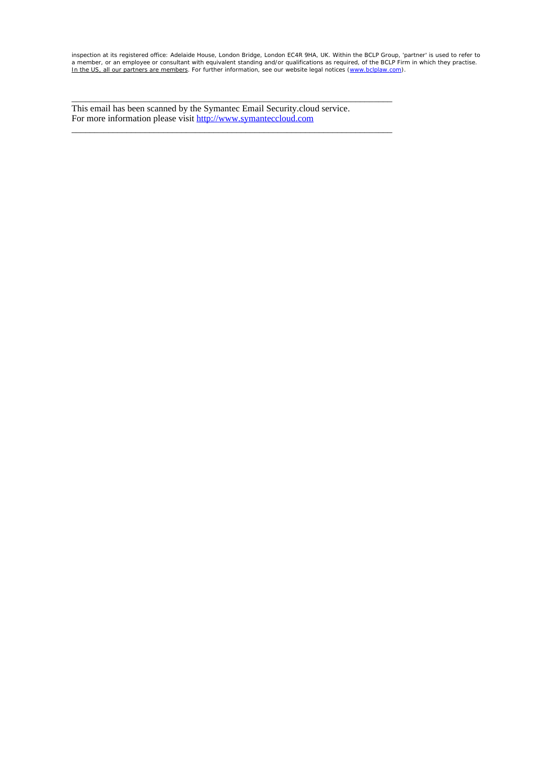inspection at its registered office: Adelaide House, London Bridge, London EC4R 9HA, UK. Within the BCLP Group, 'partner' is used to refer to<br>a member, or an employee or consultant with equivalent standing and/or qualifica

This email has been scanned by the Symantec Email Security.cloud service. For more information please visit [http://www.symanteccloud.com](http://www.symanteccloud.com/)

\_\_\_\_\_\_\_\_\_\_\_\_\_\_\_\_\_\_\_\_\_\_\_\_\_\_\_\_\_\_\_\_\_\_\_\_\_\_\_\_\_\_\_\_\_\_\_\_\_\_\_\_\_\_\_\_\_\_\_\_\_\_\_\_\_\_\_\_\_\_

\_\_\_\_\_\_\_\_\_\_\_\_\_\_\_\_\_\_\_\_\_\_\_\_\_\_\_\_\_\_\_\_\_\_\_\_\_\_\_\_\_\_\_\_\_\_\_\_\_\_\_\_\_\_\_\_\_\_\_\_\_\_\_\_\_\_\_\_\_\_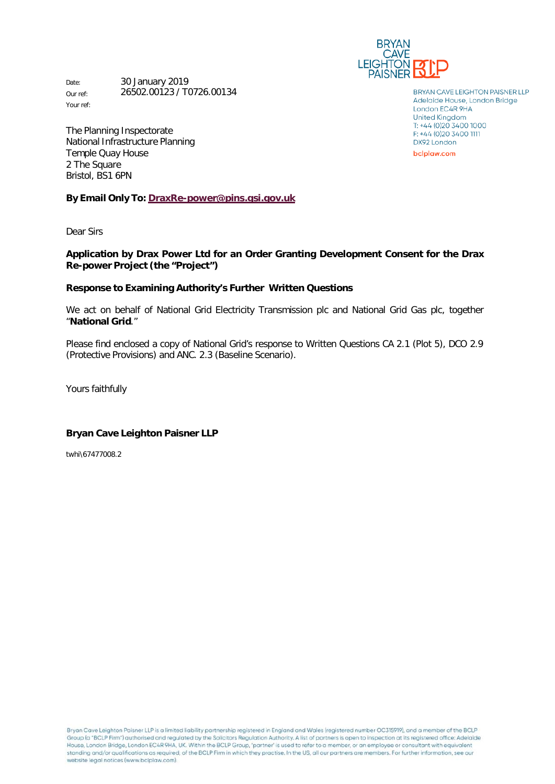

Date: 30 January 2019 Our ref: Your ref: 26502.00123 / T0726.00134

The Planning Inspectorate National Infrastructure Planning Temple Quay House 2 The Square Bristol, BS1 6PN

**By Email Only To: [DraxRe-power@pins.gsi.gov.uk](mailto:DraxRe-power@pins.gsi.gov.uk)**

Dear Sirs

## **Application by Drax Power Ltd for an Order Granting Development Consent for the Drax Re-power Project (the "Project")**

#### **Response to Examining Authority's Further Written Questions**

We act on behalf of National Grid Electricity Transmission plc and National Grid Gas plc, together "**National Grid**."

Please find enclosed a copy of National Grid's response to Written Questions CA 2.1 (Plot 5), DCO 2.9 (Protective Provisions) and ANC. 2.3 (Baseline Scenario).

Yours faithfully

#### **Bryan Cave Leighton Paisner LLP**

twhi\67477008.2

Bryan Cave Leighton Paisner LLP is a limited liability partnership registered in England and Wales (registered number OC315919), and a member of the BCLP Group (a "BCLP Firm") authorised and regulated by the Solicitors Regulation Authority. A list of partners is open to inspection at its registered office: Adelaide House, London Bridge, London EC4R 9HA, UK. Within the BCLP Group, 'partner' is used to refer to a member, or an employee or consultant with equivalent standing and/or qualifications as required, of the BCLP Firm in which they practise. In the US, all our partners are members. For further information, see our website legal notices (www.bclplaw.com).

**BRYAN CAVE LEIGHTON PAISNER LLP** Adelaide House, London Bridge London EC4R 9HA **United Kingdom** T: +44 (0)20 3400 1000 F: +44 (0)20 3400 1111 DX92 London

bclplaw.com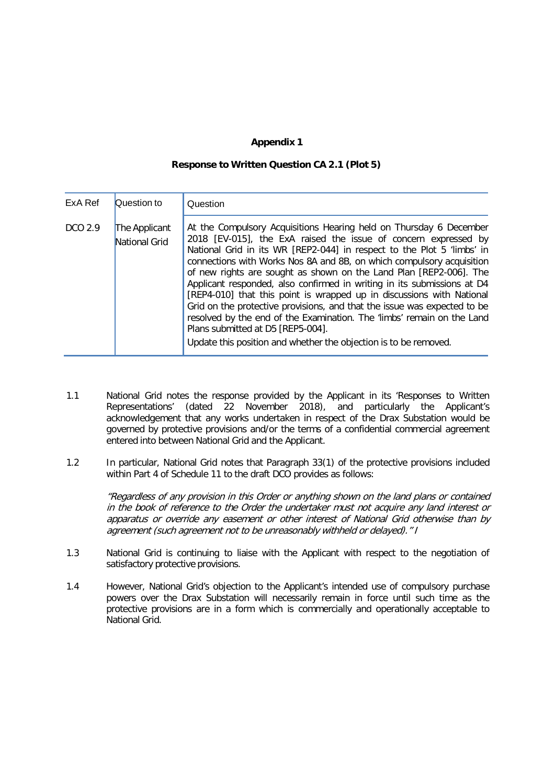# **Appendix 1**

#### **Response to Written Question CA 2.1 (Plot 5)**

| ExA Ref | Question to                    | Question                                                                                                                                                                                                                                                                                                                                                                                                                                                                                                                                                                                                                                                                                                                                                                          |
|---------|--------------------------------|-----------------------------------------------------------------------------------------------------------------------------------------------------------------------------------------------------------------------------------------------------------------------------------------------------------------------------------------------------------------------------------------------------------------------------------------------------------------------------------------------------------------------------------------------------------------------------------------------------------------------------------------------------------------------------------------------------------------------------------------------------------------------------------|
| DCO 2.9 | The Applicant<br>National Grid | At the Compulsory Acquisitions Hearing held on Thursday 6 December<br>2018 [EV-015], the ExA raised the issue of concern expressed by<br>National Grid in its WR [REP2-044] in respect to the Plot 5 'limbs' in<br>connections with Works Nos 8A and 8B, on which compulsory acquisition<br>of new rights are sought as shown on the Land Plan [REP2-006]. The<br>Applicant responded, also confirmed in writing in its submissions at D4<br>[REP4-010] that this point is wrapped up in discussions with National<br>Grid on the protective provisions, and that the issue was expected to be<br>resolved by the end of the Examination. The 'limbs' remain on the Land<br>Plans submitted at D5 [REP5-004].<br>Update this position and whether the objection is to be removed. |
|         |                                |                                                                                                                                                                                                                                                                                                                                                                                                                                                                                                                                                                                                                                                                                                                                                                                   |

- 1.1 National Grid notes the response provided by the Applicant in its 'Responses to Written Representations' (dated 22 November 2018), and particularly the Applicant's acknowledgement that any works undertaken in respect of the Drax Substation would be governed by protective provisions and/or the terms of a confidential commercial agreement entered into between National Grid and the Applicant.
- 1.2 In particular, National Grid notes that Paragraph 33(1) of the protective provisions included within Part 4 of Schedule 11 to the draft DCO provides as follows:

"Regardless of any provision in this Order or anything shown on the land plans or contained in the book of reference to the Order the undertaker must not acquire any land interest or apparatus or override any easement or other interest of National Grid otherwise than by agreement (such agreement not to be unreasonably withheld or delayed)." I

- 1.3 National Grid is continuing to liaise with the Applicant with respect to the negotiation of satisfactory protective provisions.
- 1.4 However, National Grid's objection to the Applicant's intended use of compulsory purchase powers over the Drax Substation will necessarily remain in force until such time as the protective provisions are in a form which is commercially and operationally acceptable to National Grid.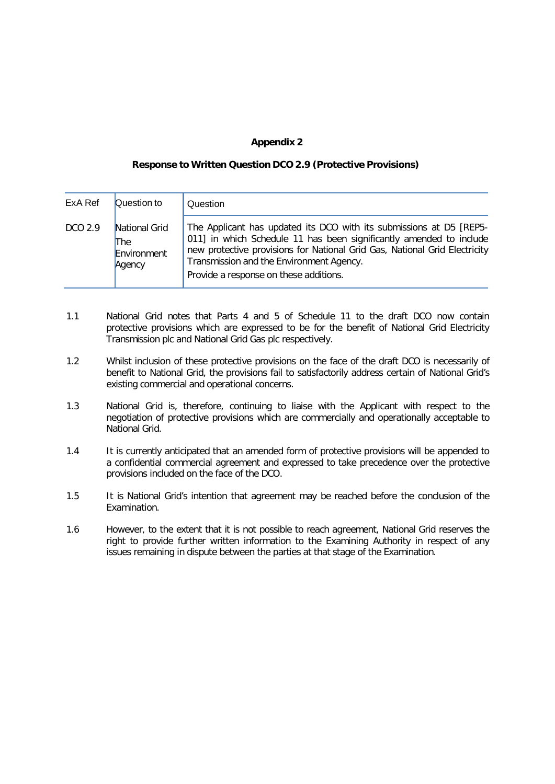## **Appendix 2**

#### **Response to Written Question DCO 2.9 (Protective Provisions)**

| ExA Ref | Question to                                   | Question                                                                                                                                                                                                                                                                                                       |
|---------|-----------------------------------------------|----------------------------------------------------------------------------------------------------------------------------------------------------------------------------------------------------------------------------------------------------------------------------------------------------------------|
| DCO 2.9 | National Grid<br>The<br>Environment<br>Agency | The Applicant has updated its DCO with its submissions at D5 [REP5-<br>011] in which Schedule 11 has been significantly amended to include<br>new protective provisions for National Grid Gas, National Grid Electricity<br>Transmission and the Environment Agency.<br>Provide a response on these additions. |

- 1.1 National Grid notes that Parts 4 and 5 of Schedule 11 to the draft DCO now contain protective provisions which are expressed to be for the benefit of National Grid Electricity Transmission plc and National Grid Gas plc respectively.
- 1.2 Whilst inclusion of these protective provisions on the face of the draft DCO is necessarily of benefit to National Grid, the provisions fail to satisfactorily address certain of National Grid's existing commercial and operational concerns.
- 1.3 National Grid is, therefore, continuing to liaise with the Applicant with respect to the negotiation of protective provisions which are commercially and operationally acceptable to National Grid.
- 1.4 It is currently anticipated that an amended form of protective provisions will be appended to a confidential commercial agreement and expressed to take precedence over the protective provisions included on the face of the DCO.
- 1.5 It is National Grid's intention that agreement may be reached before the conclusion of the Examination.
- 1.6 However, to the extent that it is not possible to reach agreement, National Grid reserves the right to provide further written information to the Examining Authority in respect of any issues remaining in dispute between the parties at that stage of the Examination.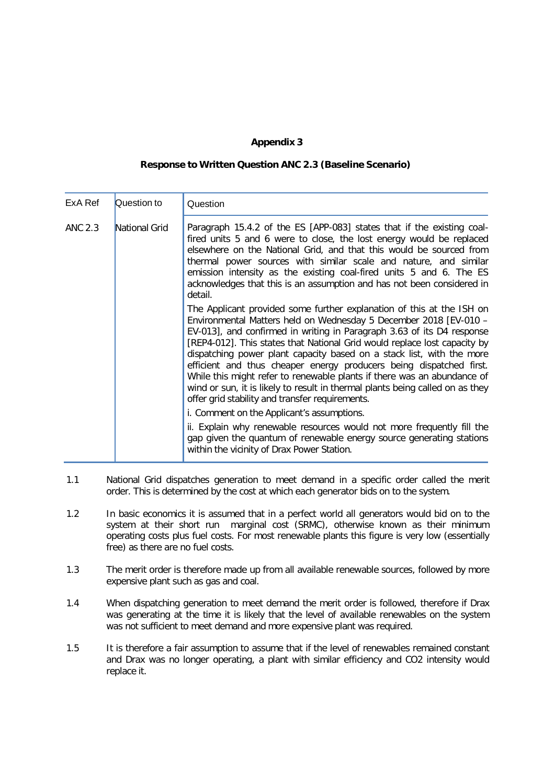## **Appendix 3**

### **Response to Written Question ANC 2.3 (Baseline Scenario)**

| ExA Ref | Question to   | Question                                                                                                                                                                                                                                                                                                                                                                                                                                                                                                                                                                                                                                                         |
|---------|---------------|------------------------------------------------------------------------------------------------------------------------------------------------------------------------------------------------------------------------------------------------------------------------------------------------------------------------------------------------------------------------------------------------------------------------------------------------------------------------------------------------------------------------------------------------------------------------------------------------------------------------------------------------------------------|
| ANC 2.3 | National Grid | Paragraph 15.4.2 of the ES [APP-083] states that if the existing coal-<br>fired units 5 and 6 were to close, the lost energy would be replaced<br>elsewhere on the National Grid, and that this would be sourced from<br>thermal power sources with similar scale and nature, and similar<br>emission intensity as the existing coal-fired units 5 and 6. The ES<br>acknowledges that this is an assumption and has not been considered in<br>detail.                                                                                                                                                                                                            |
|         |               | The Applicant provided some further explanation of this at the ISH on<br>Environmental Matters held on Wednesday 5 December 2018 [EV-010 -<br>EV-013], and confirmed in writing in Paragraph 3.63 of its D4 response<br>[REP4-012]. This states that National Grid would replace lost capacity by<br>dispatching power plant capacity based on a stack list, with the more<br>efficient and thus cheaper energy producers being dispatched first.<br>While this might refer to renewable plants if there was an abundance of<br>wind or sun, it is likely to result in thermal plants being called on as they<br>offer grid stability and transfer requirements. |
|         |               | i. Comment on the Applicant's assumptions.<br>ii. Explain why renewable resources would not more frequently fill the<br>gap given the quantum of renewable energy source generating stations<br>within the vicinity of Drax Power Station.                                                                                                                                                                                                                                                                                                                                                                                                                       |

- 1.1 National Grid dispatches generation to meet demand in a specific order called the merit order. This is determined by the cost at which each generator bids on to the system.
- 1.2 In basic economics it is assumed that in a perfect world all generators would bid on to the system at their short run marginal cost (SRMC), otherwise known as their minimum operating costs plus fuel costs. For most renewable plants this figure is very low (essentially free) as there are no fuel costs.
- 1.3 The merit order is therefore made up from all available renewable sources, followed by more expensive plant such as gas and coal.
- 1.4 When dispatching generation to meet demand the merit order is followed, therefore if Drax was generating at the time it is likely that the level of available renewables on the system was not sufficient to meet demand and more expensive plant was required.
- 1.5 It is therefore a fair assumption to assume that if the level of renewables remained constant and Drax was no longer operating, a plant with similar efficiency and CO2 intensity would replace it.